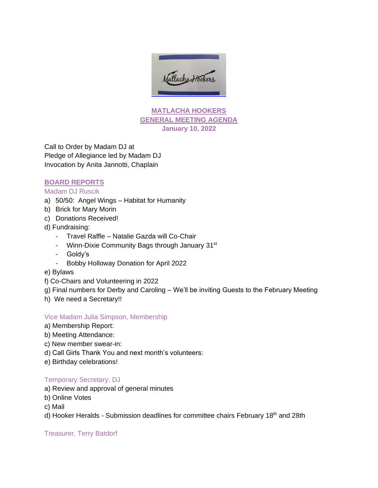

**MATLACHA HOOKERS GENERAL MEETING AGENDA January 10, 2022**

Call to Order by Madam DJ at Pledge of Allegiance led by Madam DJ Invocation by Anita Jannotti, Chaplain

# **BOARD REPORTS**

## Madam DJ Ruscik

- a) 50/50: Angel Wings Habitat for Humanity
- b) Brick for Mary Morin
- c) Donations Received!
- d) Fundraising:
	- Travel Raffle Natalie Gazda will Co-Chair
	- Winn-Dixie Community Bags through January 31<sup>st</sup>
	- Goldy's
	- Bobby Holloway Donation for April 2022

## e) Bylaws

- f) Co-Chairs and Volunteering in 2022
- g) Final numbers for Derby and Caroling We'll be inviting Guests to the February Meeting
- h) We need a Secretary!!

## Vice Madam Julia Simpson, Membership

- a) Membership Report:
- b) Meeting Attendance:
- c) New member swear-in:
- d) Call Girls Thank You and next month's volunteers:
- e) Birthday celebrations!

## Temporary Secretary, DJ

- a) Review and approval of general minutes
- b) Online Votes
- c) Mail
- d) Hooker Heralds Submission deadlines for committee chairs February 18<sup>th</sup> and 28th

## Treasurer, Terry Batdorf